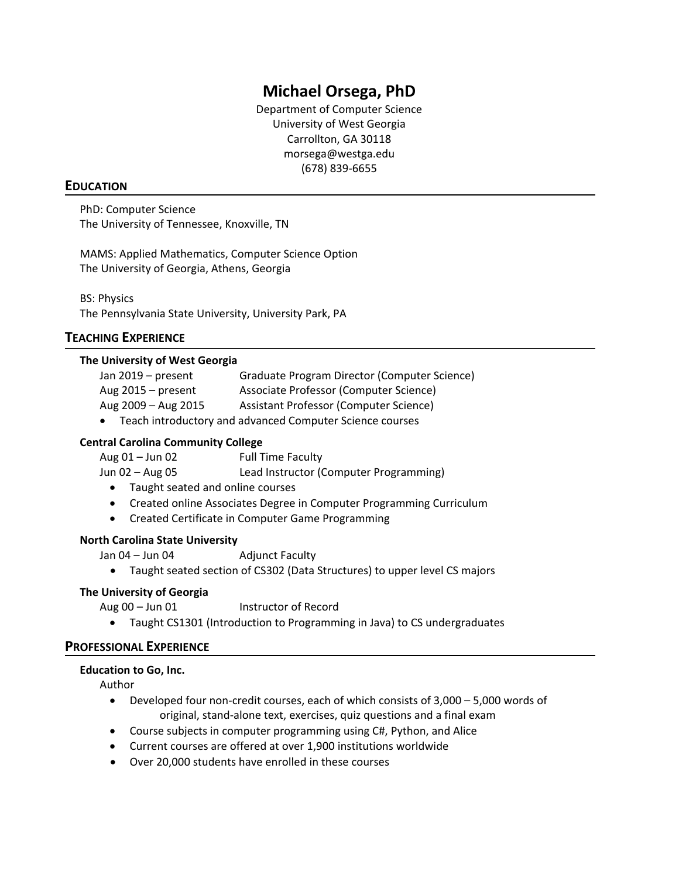# **Michael Orsega, PhD**

Department of Computer Science University of West Georgia Carrollton, GA 30118 morsega@westga.edu (678) 839‐6655

## **EDUCATION**

PhD: Computer Science The University of Tennessee, Knoxville, TN

MAMS: Applied Mathematics, Computer Science Option The University of Georgia, Athens, Georgia

BS: Physics The Pennsylvania State University, University Park, PA

# **TEACHING EXPERIENCE**

## **The University of West Georgia**

| Jan 2019 – present                                         | Graduate Program Director (Computer Science) |
|------------------------------------------------------------|----------------------------------------------|
| Aug $2015 - present$                                       | Associate Professor (Computer Science)       |
| Aug 2009 - Aug 2015                                        | Assistant Professor (Computer Science)       |
| • Teach introductory and advanced Computer Science courses |                                              |

# **Central Carolina Community College**

| Aug 01 – Jun 02 | <b>Full Time Faculty</b>               |
|-----------------|----------------------------------------|
| Jun 02 – Aug 05 | Lead Instructor (Computer Programming) |

- Taught seated and online courses
- Created online Associates Degree in Computer Programming Curriculum
- Created Certificate in Computer Game Programming

### **North Carolina State University**

Jan 04 – Jun 04 **Manual** Adjunct Faculty

Taught seated section of CS302 (Data Structures) to upper level CS majors

## **The University of Georgia**

Aug 00 – Jun 01 Instructor of Record

Taught CS1301 (Introduction to Programming in Java) to CS undergraduates

## **PROFESSIONAL EXPERIENCE**

### **Education to Go, Inc.**

Author

- Developed four non‐credit courses, each of which consists of 3,000 5,000 words of original, stand‐alone text, exercises, quiz questions and a final exam
- Course subjects in computer programming using C#, Python, and Alice
- Current courses are offered at over 1,900 institutions worldwide
- Over 20,000 students have enrolled in these courses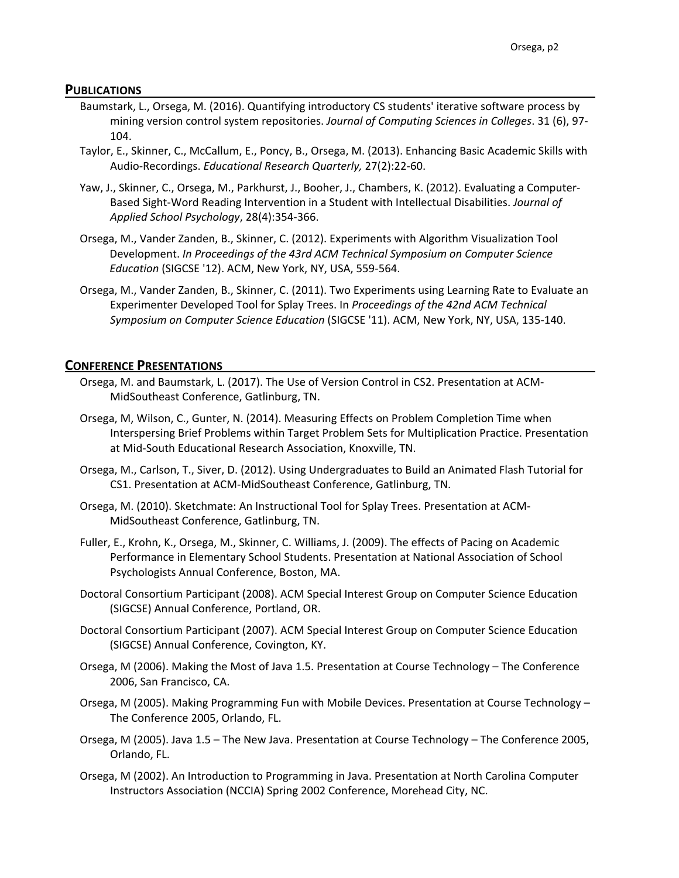#### **PUBLICATIONS**

- Baumstark, L., Orsega, M. (2016). Quantifying introductory CS students' iterative software process by mining version control system repositories. *Journal of Computing Sciences in Colleges*. 31 (6), 97‐ 104.
- Taylor, E., Skinner, C., McCallum, E., Poncy, B., Orsega, M. (2013). Enhancing Basic Academic Skills with Audio‐Recordings. *Educational Research Quarterly,* 27(2):22‐60.
- Yaw, J., Skinner, C., Orsega, M., Parkhurst, J., Booher, J., Chambers, K. (2012). Evaluating a Computer‐ Based Sight‐Word Reading Intervention in a Student with Intellectual Disabilities. *Journal of Applied School Psychology*, 28(4):354‐366.
- Orsega, M., Vander Zanden, B., Skinner, C. (2012). Experiments with Algorithm Visualization Tool Development. *In Proceedings of the 43rd ACM Technical Symposium on Computer Science Education* (SIGCSE '12). ACM, New York, NY, USA, 559‐564.
- Orsega, M., Vander Zanden, B., Skinner, C. (2011). Two Experiments using Learning Rate to Evaluate an Experimenter Developed Tool for Splay Trees. In *Proceedings of the 42nd ACM Technical Symposium on Computer Science Education* (SIGCSE '11). ACM, New York, NY, USA, 135‐140.

#### **CONFERENCE PRESENTATIONS**

- Orsega, M. and Baumstark, L. (2017). The Use of Version Control in CS2. Presentation at ACM‐ MidSoutheast Conference, Gatlinburg, TN.
- Orsega, M, Wilson, C., Gunter, N. (2014). Measuring Effects on Problem Completion Time when Interspersing Brief Problems within Target Problem Sets for Multiplication Practice. Presentation at Mid‐South Educational Research Association, Knoxville, TN.
- Orsega, M., Carlson, T., Siver, D. (2012). Using Undergraduates to Build an Animated Flash Tutorial for CS1. Presentation at ACM‐MidSoutheast Conference, Gatlinburg, TN.
- Orsega, M. (2010). Sketchmate: An Instructional Tool for Splay Trees. Presentation at ACM‐ MidSoutheast Conference, Gatlinburg, TN.
- Fuller, E., Krohn, K., Orsega, M., Skinner, C. Williams, J. (2009). The effects of Pacing on Academic Performance in Elementary School Students. Presentation at National Association of School Psychologists Annual Conference, Boston, MA.
- Doctoral Consortium Participant (2008). ACM Special Interest Group on Computer Science Education (SIGCSE) Annual Conference, Portland, OR.
- Doctoral Consortium Participant (2007). ACM Special Interest Group on Computer Science Education (SIGCSE) Annual Conference, Covington, KY.
- Orsega, M (2006). Making the Most of Java 1.5. Presentation at Course Technology The Conference 2006, San Francisco, CA.
- Orsega, M (2005). Making Programming Fun with Mobile Devices. Presentation at Course Technology The Conference 2005, Orlando, FL.
- Orsega, M (2005). Java 1.5 The New Java. Presentation at Course Technology The Conference 2005, Orlando, FL.
- Orsega, M (2002). An Introduction to Programming in Java. Presentation at North Carolina Computer Instructors Association (NCCIA) Spring 2002 Conference, Morehead City, NC.